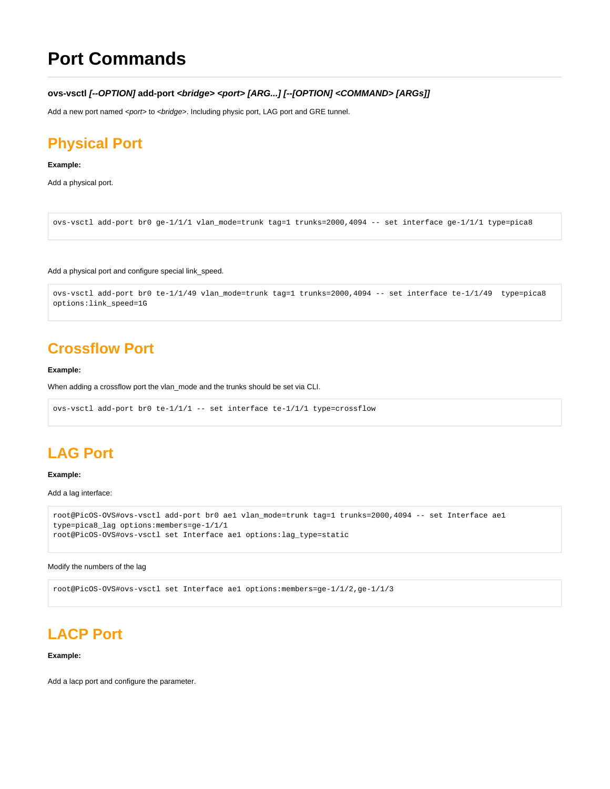# **Port Commands**

**ovs-vsctl [--OPTION] add-port <bridge> <port> [ARG...] [--[OPTION] <COMMAND> [ARGs]]**

Add a new port named <port> to <br/> <br/>kidge>. Including physic port, LAG port and GRE tunnel.

# **Physical Port**

## **Example:**

Add a physical port.

```
ovs-vsctl add-port br0 ge-1/1/1 vlan_mode=trunk tag=1 trunks=2000,4094 -- set interface ge-1/1/1 type=pica8
```
Add a physical port and configure special link speed.

```
ovs-vsctl add-port br0 te-1/1/49 vlan_mode=trunk tag=1 trunks=2000,4094 -- set interface te-1/1/49 type=pica8 
options:link_speed=1G
```
# **Crossflow Port**

#### **Example:**

When adding a crossflow port the vlan mode and the trunks should be set via CLI.

```
ovs-vsctl add-port br0 te-1/1/1 -- set interface te-1/1/1 type=crossflow
```
# **LAG Port**

#### **Example:**

Add a lag interface:

```
root@PicOS-OVS#ovs-vsctl add-port br0 ae1 vlan_mode=trunk tag=1 trunks=2000,4094 -- set Interface ae1 
type=pica8_lag options:members=ge-1/1/1
root@PicOS-OVS#ovs-vsctl set Interface ae1 options:lag_type=static
```
#### Modify the numbers of the lag

root@PicOS-OVS#ovs-vsctl set Interface ae1 options:members=ge-1/1/2,ge-1/1/3

# **LACP Port**

#### **Example:**

Add a lacp port and configure the parameter.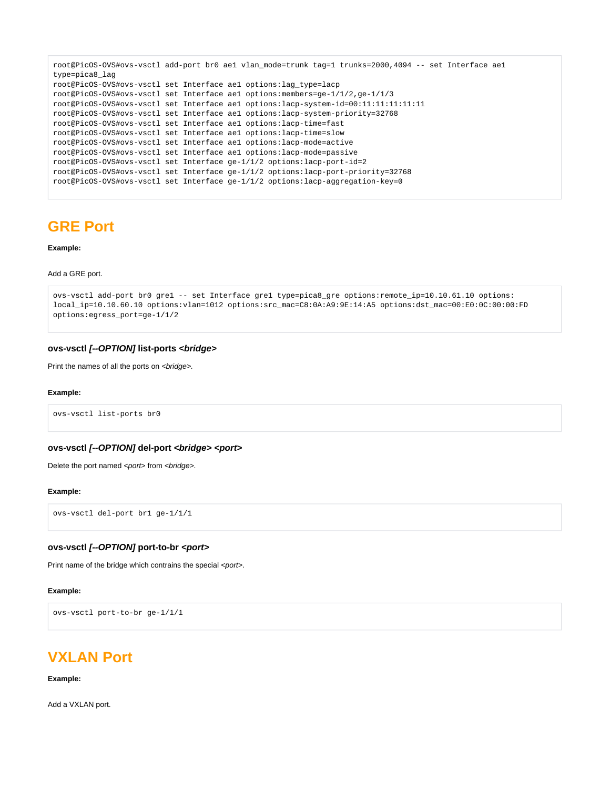```
root@PicOS-OVS#ovs-vsctl add-port br0 ae1 vlan_mode=trunk tag=1 trunks=2000,4094 -- set Interface ae1 
type=pica8_lag
root@PicOS-OVS#ovs-vsctl set Interface ae1 options:lag_type=lacp
root@PicOS-OVS#ovs-vsctl set Interface ae1 options:members=ge-1/1/2,ge-1/1/3
root@PicOS-OVS#ovs-vsctl set Interface ae1 options:lacp-system-id=00:11:11:11:11:11
root@PicOS-OVS#ovs-vsctl set Interface ae1 options:lacp-system-priority=32768
root@PicOS-OVS#ovs-vsctl set Interface ae1 options:lacp-time=fast
root@PicOS-OVS#ovs-vsctl set Interface ae1 options:lacp-time=slow
root@PicOS-OVS#ovs-vsctl set Interface ae1 options:lacp-mode=active
root@PicOS-OVS#ovs-vsctl set Interface ae1 options:lacp-mode=passive
root@PicOS-OVS#ovs-vsctl set Interface ge-1/1/2 options:lacp-port-id=2
root@PicOS-OVS#ovs-vsctl set Interface ge-1/1/2 options:lacp-port-priority=32768
root@PicOS-OVS#ovs-vsctl set Interface ge-1/1/2 options:lacp-aggregation-key=0
```
## **GRE Port**

## **Example:**

#### Add a GRE port.

```
ovs-vsctl add-port br0 gre1 -- set Interface gre1 type=pica8_gre options:remote_ip=10.10.61.10 options:
local_ip=10.10.60.10 options:vlan=1012 options:src_mac=C8:0A:A9:9E:14:A5 options:dst_mac=00:E0:0C:00:00:FD 
options:egress_port=ge-1/1/2
```
## **ovs-vsctl [--OPTION] list-ports <bridge>**

Print the names of all the ports on <br/>bridge>.

#### **Example:**

ovs-vsctl list-ports br0

## **ovs-vsctl [--OPTION] del-port <bridge> <port>**

Delete the port named <port> from <br/> <br/>hidge>.

### **Example:**

```
ovs-vsctl del-port br1 ge-1/1/1
```
#### **ovs-vsctl [--OPTION] port-to-br <port>**

Print name of the bridge which contrains the special <port>.

#### **Example:**

```
ovs-vsctl port-to-br ge-1/1/1
```
# **VXLAN Port**

### **Example:**

Add a VXLAN port.